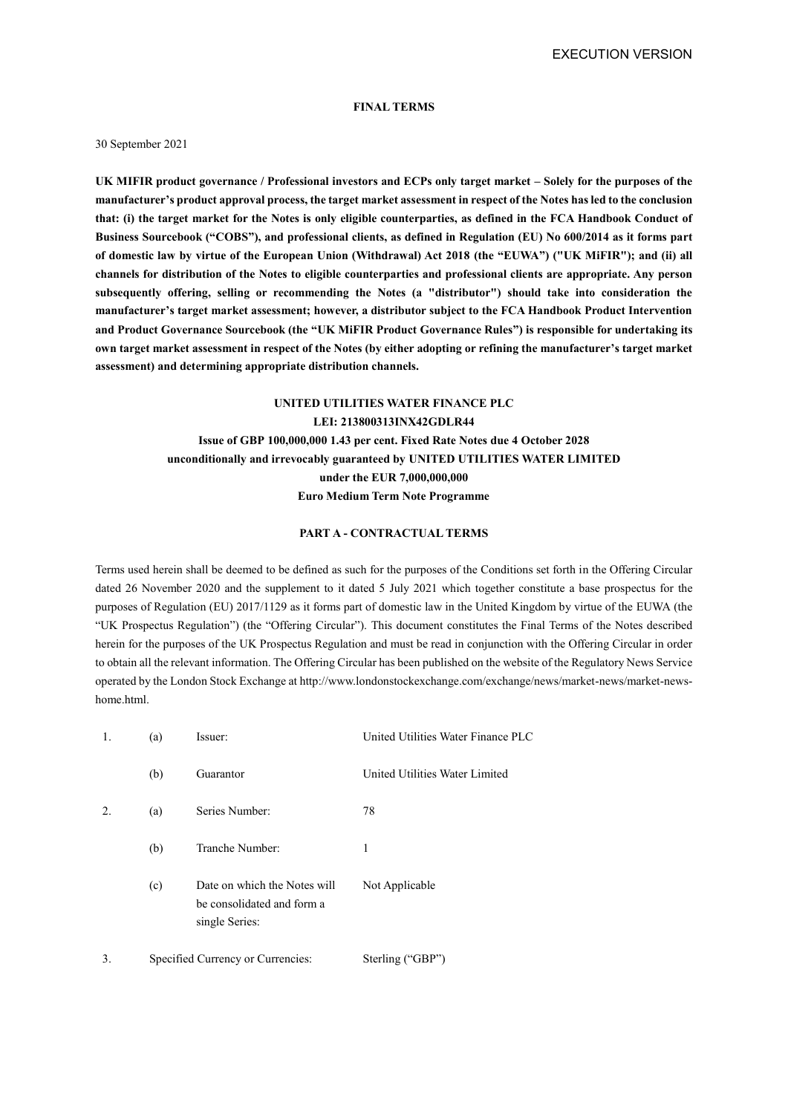EXECUTION VERSION

## **FINAL TERMS**

#### 30 September 2021

**UK MIFIR product governance / Professional investors and ECPs only target market – Solely for the purposes of the manufacturer's product approval process, the target market assessment in respect of the Notes has led to the conclusion that: (i) the target market for the Notes is only eligible counterparties, as defined in the FCA Handbook Conduct of Business Sourcebook ("COBS"), and professional clients, as defined in Regulation (EU) No 600/2014 as it forms part of domestic law by virtue of the European Union (Withdrawal) Act 2018 (the "EUWA") ("UK MiFIR"); and (ii) all channels for distribution of the Notes to eligible counterparties and professional clients are appropriate. Any person subsequently offering, selling or recommending the Notes (a "distributor") should take into consideration the manufacturer's target market assessment; however, a distributor subject to the FCA Handbook Product Intervention and Product Governance Sourcebook (the "UK MiFIR Product Governance Rules") is responsible for undertaking its own target market assessment in respect of the Notes (by either adopting or refining the manufacturer's target market assessment) and determining appropriate distribution channels.**

## **UNITED UTILITIES WATER FINANCE PLC**

**LEI: 213800313INX42GDLR44 Issue of GBP 100,000,000 1.43 per cent. Fixed Rate Notes due 4 October 2028 unconditionally and irrevocably guaranteed by UNITED UTILITIES WATER LIMITED under the EUR 7,000,000,000 Euro Medium Term Note Programme**

## **PART A - CONTRACTUAL TERMS**

Terms used herein shall be deemed to be defined as such for the purposes of the Conditions set forth in the Offering Circular dated 26 November 2020 and the supplement to it dated 5 July 2021 which together constitute a base prospectus for the purposes of Regulation (EU) 2017/1129 as it forms part of domestic law in the United Kingdom by virtue of the EUWA (the "UK Prospectus Regulation") (the "Offering Circular"). This document constitutes the Final Terms of the Notes described herein for the purposes of the UK Prospectus Regulation and must be read in conjunction with the Offering Circular in order to obtain all the relevant information. The Offering Circular has been published on the website of the Regulatory News Service operated by the London Stock Exchange at http://www.londonstockexchange.com/exchange/news/market-news/market-newshome.html.

| 1. | (a) | Issuer:                                                                      | United Utilities Water Finance PLC |
|----|-----|------------------------------------------------------------------------------|------------------------------------|
|    | (b) | Guarantor                                                                    | United Utilities Water Limited     |
| 2. | (a) | Series Number:                                                               | 78                                 |
|    | (b) | Tranche Number:                                                              | 1                                  |
|    | (c) | Date on which the Notes will<br>be consolidated and form a<br>single Series: | Not Applicable                     |
| 3. |     | Specified Currency or Currencies:                                            | Sterling ("GBP")                   |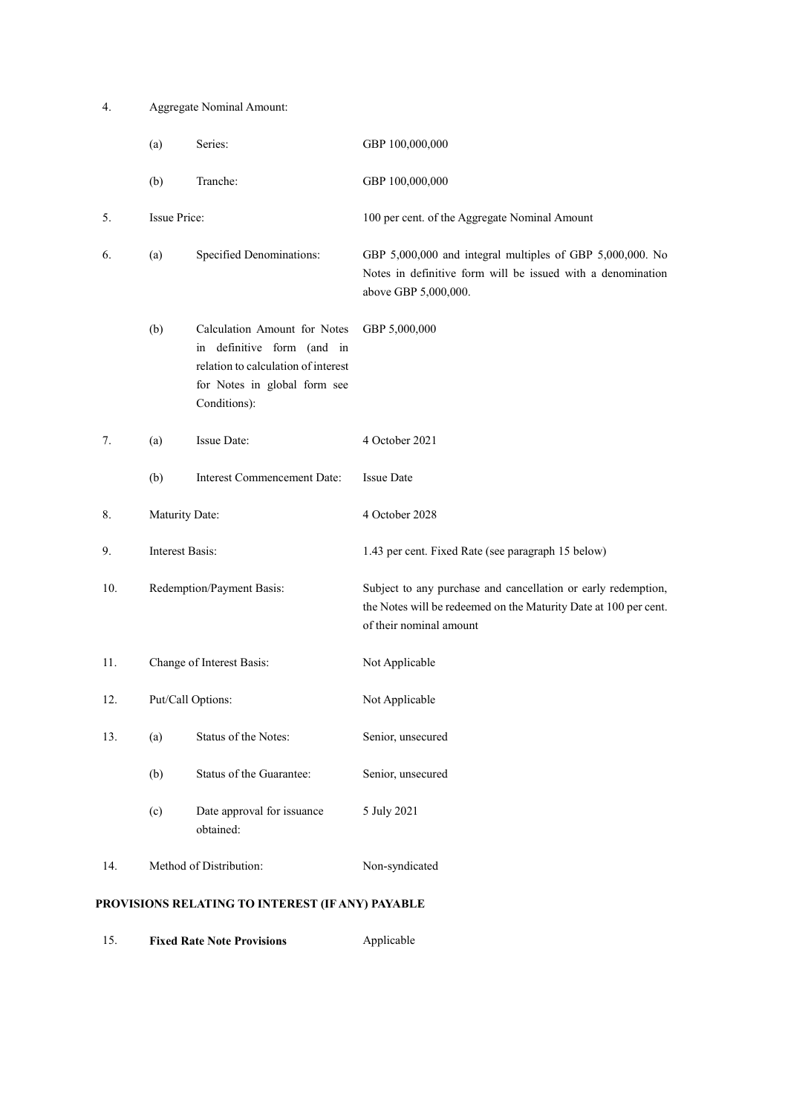4. Aggregate Nominal Amount:

|     | Series:<br>(a)                  |                                                                                                                                                   | GBP 100,000,000                                                                                                                                              |  |
|-----|---------------------------------|---------------------------------------------------------------------------------------------------------------------------------------------------|--------------------------------------------------------------------------------------------------------------------------------------------------------------|--|
|     | (b)                             | Tranche:                                                                                                                                          | GBP 100,000,000                                                                                                                                              |  |
| 5.  | <b>Issue Price:</b>             |                                                                                                                                                   | 100 per cent. of the Aggregate Nominal Amount                                                                                                                |  |
| 6.  | Specified Denominations:<br>(a) |                                                                                                                                                   | GBP 5,000,000 and integral multiples of GBP 5,000,000. No<br>Notes in definitive form will be issued with a denomination<br>above GBP 5,000,000.             |  |
|     | (b)                             | Calculation Amount for Notes<br>in definitive form (and in<br>relation to calculation of interest<br>for Notes in global form see<br>Conditions): | GBP 5,000,000                                                                                                                                                |  |
| 7.  | (a)                             | Issue Date:                                                                                                                                       | 4 October 2021                                                                                                                                               |  |
|     | (b)                             | <b>Interest Commencement Date:</b>                                                                                                                | <b>Issue Date</b>                                                                                                                                            |  |
| 8.  | Maturity Date:                  |                                                                                                                                                   | 4 October 2028                                                                                                                                               |  |
| 9.  | Interest Basis:                 |                                                                                                                                                   | 1.43 per cent. Fixed Rate (see paragraph 15 below)                                                                                                           |  |
| 10. | Redemption/Payment Basis:       |                                                                                                                                                   | Subject to any purchase and cancellation or early redemption,<br>the Notes will be redeemed on the Maturity Date at 100 per cent.<br>of their nominal amount |  |
| 11. | Change of Interest Basis:       |                                                                                                                                                   | Not Applicable                                                                                                                                               |  |
| 12. | Put/Call Options:               |                                                                                                                                                   | Not Applicable                                                                                                                                               |  |
| 13. | (a)                             | Status of the Notes:                                                                                                                              | Senior, unsecured                                                                                                                                            |  |
|     | (b)                             | Status of the Guarantee:                                                                                                                          | Senior, unsecured                                                                                                                                            |  |
|     | (c)                             | Date approval for issuance<br>obtained:                                                                                                           | 5 July 2021                                                                                                                                                  |  |
| 14. |                                 | Method of Distribution:                                                                                                                           | Non-syndicated                                                                                                                                               |  |

# **PROVISIONS RELATING TO INTEREST (IF ANY) PAYABLE**

15. **Fixed Rate Note Provisions** Applicable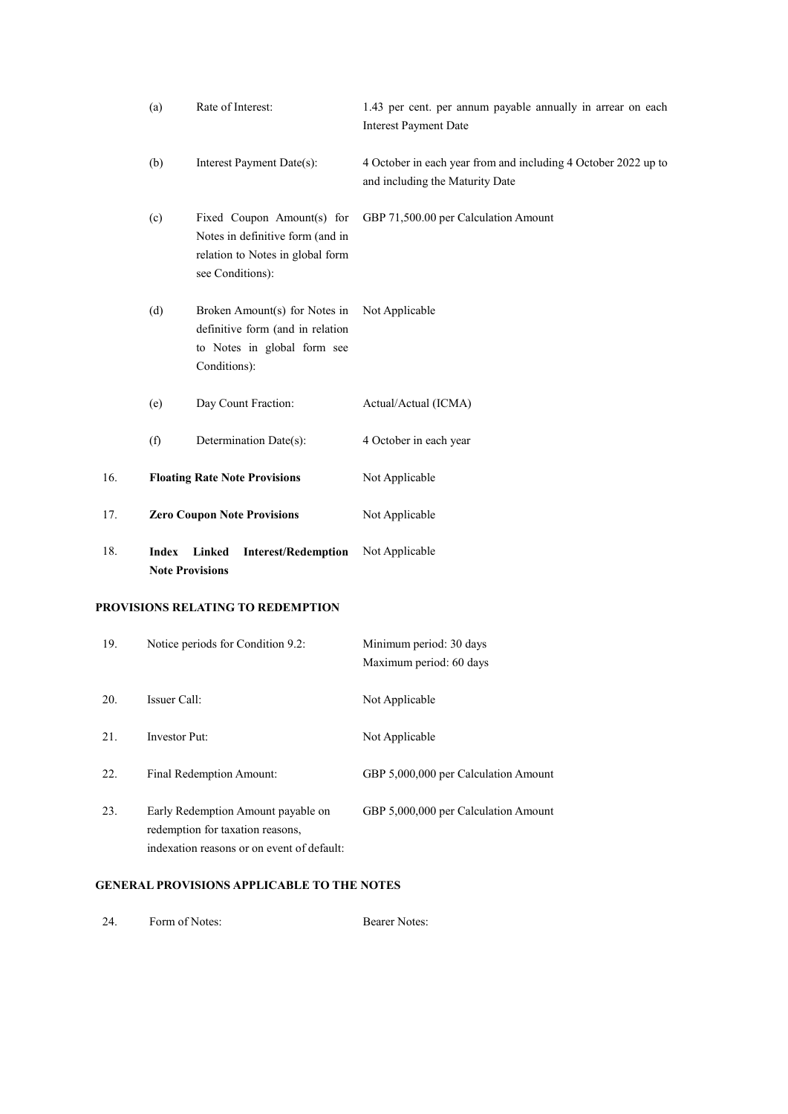|     | (a)          | Rate of Interest:                                                                                                      | 1.43 per cent. per annum payable annually in arrear on each<br><b>Interest Payment Date</b>       |
|-----|--------------|------------------------------------------------------------------------------------------------------------------------|---------------------------------------------------------------------------------------------------|
|     | (b)          | Interest Payment Date(s):                                                                                              | 4 October in each year from and including 4 October 2022 up to<br>and including the Maturity Date |
|     | (c)          | Fixed Coupon Amount(s) for<br>Notes in definitive form (and in<br>relation to Notes in global form<br>see Conditions): | GBP 71,500.00 per Calculation Amount                                                              |
|     | (d)          | Broken Amount(s) for Notes in<br>definitive form (and in relation<br>to Notes in global form see<br>Conditions):       | Not Applicable                                                                                    |
|     | (e)          | Day Count Fraction:                                                                                                    | Actual/Actual (ICMA)                                                                              |
|     | (f)          | Determination Date(s):                                                                                                 | 4 October in each year                                                                            |
| 16. |              | <b>Floating Rate Note Provisions</b>                                                                                   | Not Applicable                                                                                    |
| 17. |              | <b>Zero Coupon Note Provisions</b>                                                                                     | Not Applicable                                                                                    |
| 18. | <b>Index</b> | <b>Interest/Redemption</b><br>Linked<br><b>Note Provisions</b>                                                         | Not Applicable                                                                                    |

# **PROVISIONS RELATING TO REDEMPTION**

| 19. | Notice periods for Condition 9.2:                                                                                    | Minimum period: 30 days              |
|-----|----------------------------------------------------------------------------------------------------------------------|--------------------------------------|
|     |                                                                                                                      | Maximum period: 60 days              |
| 20. | Issuer Call:                                                                                                         | Not Applicable                       |
| 21. | Investor Put:                                                                                                        | Not Applicable                       |
| 22. | Final Redemption Amount:                                                                                             | GBP 5,000,000 per Calculation Amount |
| 23. | Early Redemption Amount payable on<br>redemption for taxation reasons,<br>indexation reasons or on event of default: | GBP 5,000,000 per Calculation Amount |

# **GENERAL PROVISIONS APPLICABLE TO THE NOTES**

| Form of Notes: | <b>Bearer Notes:</b> |
|----------------|----------------------|
|----------------|----------------------|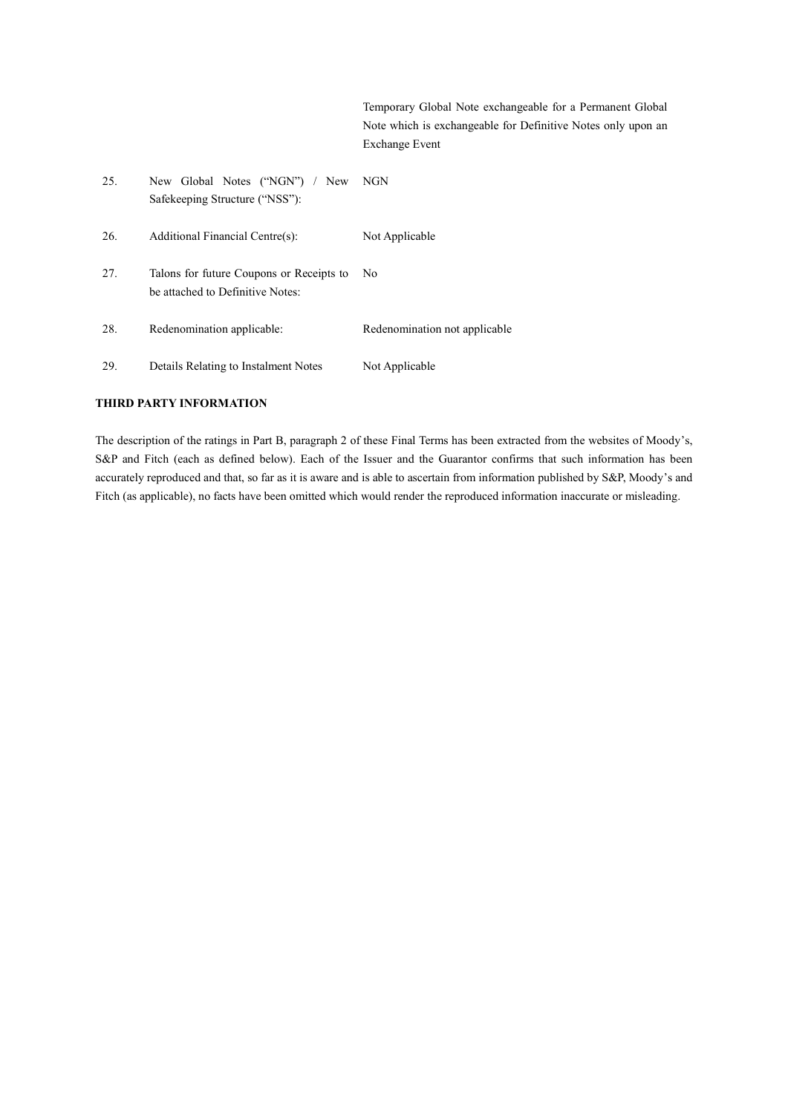Temporary Global Note exchangeable for a Permanent Global Note which is exchangeable for Definitive Notes only upon an Exchange Event

| 25. | New Global Notes ("NGN") / New<br>Safekeeping Structure ("NSS"):             | NGN                           |
|-----|------------------------------------------------------------------------------|-------------------------------|
| 26. | Additional Financial Centre(s):                                              | Not Applicable                |
| 27. | Talons for future Coupons or Receipts to<br>be attached to Definitive Notes: | No.                           |
| 28. | Redenomination applicable:                                                   | Redenomination not applicable |
| 29. | Details Relating to Instalment Notes                                         | Not Applicable                |

## **THIRD PARTY INFORMATION**

The description of the ratings in Part B, paragraph 2 of these Final Terms has been extracted from the websites of Moody's, S&P and Fitch (each as defined below). Each of the Issuer and the Guarantor confirms that such information has been accurately reproduced and that, so far as it is aware and is able to ascertain from information published by S&P, Moody's and Fitch (as applicable), no facts have been omitted which would render the reproduced information inaccurate or misleading.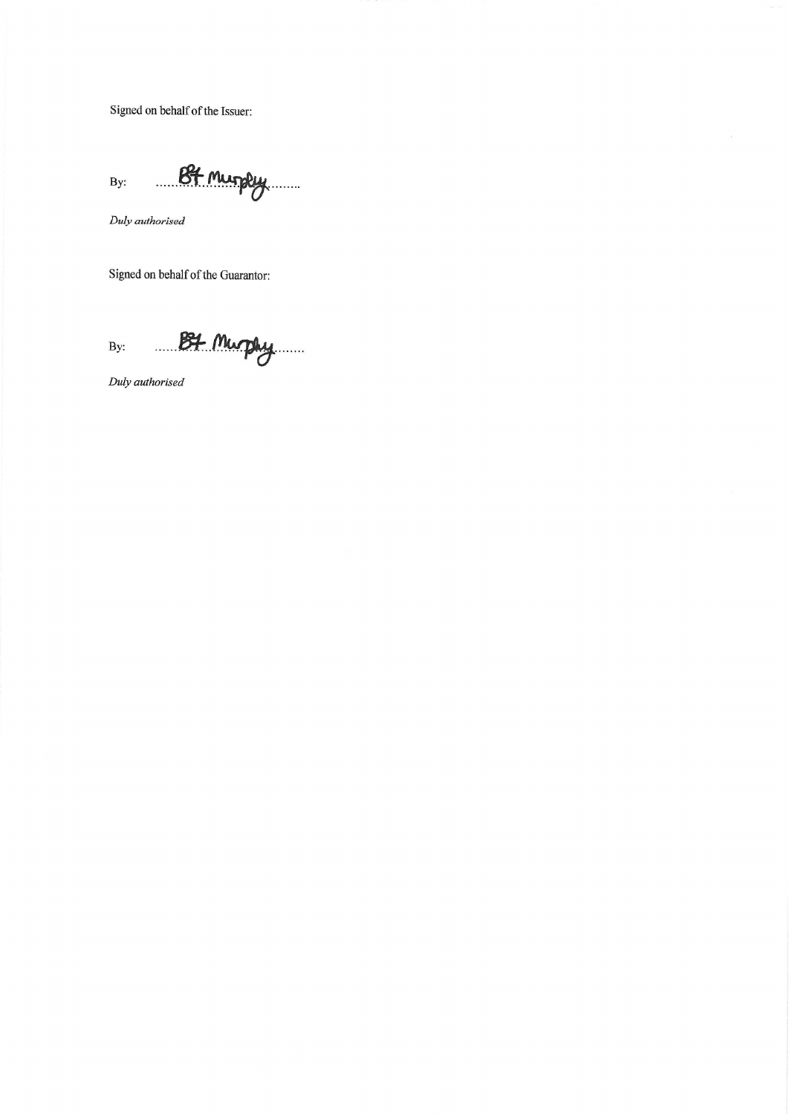Signed on behalf of the Issuer:

B4 murply By:

Duly authorised

Signed on behalf of the Guarantor:

B4 Murphy By:

Duly authorised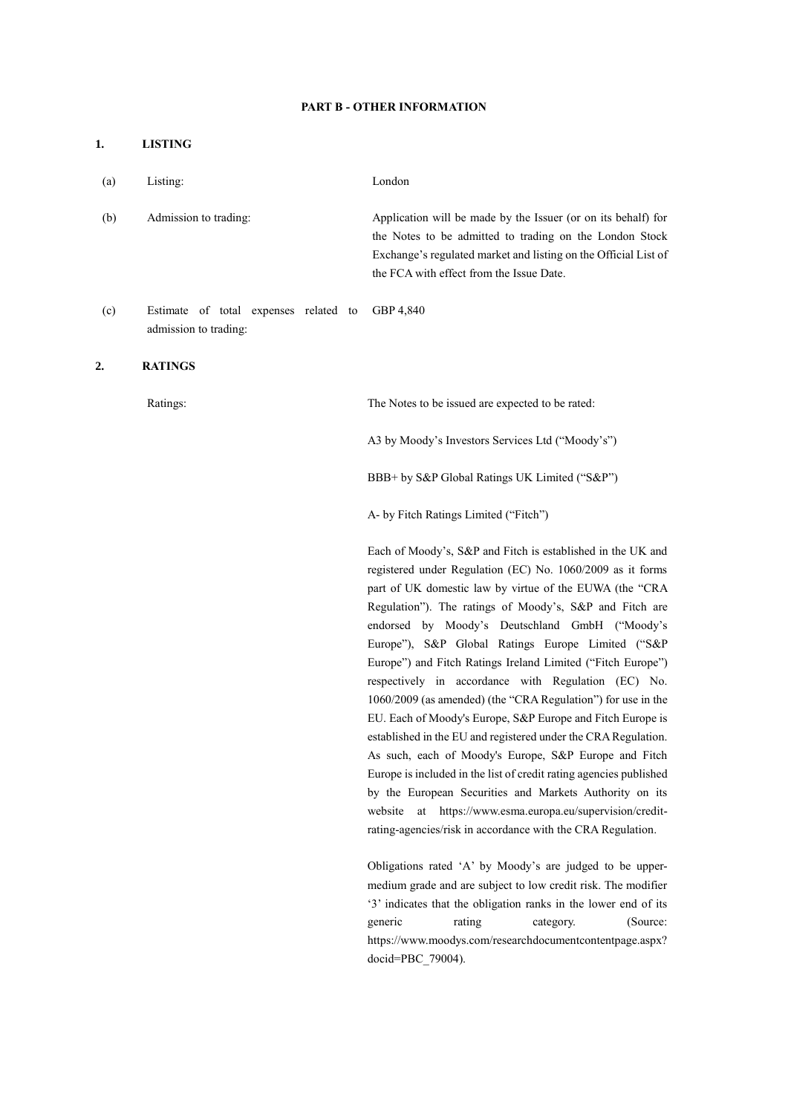#### **PART B - OTHER INFORMATION**

# **1. LISTING** (a) Listing: London (b) Admission to trading: Application will be made by the Issuer (or on its behalf) for the Notes to be admitted to trading on the London Stock Exchange's regulated market and listing on the Official List of the FCA with effect from the Issue Date. (c) Estimate of total expenses related to admission to trading: GBP 4,840 **2. RATINGS** Ratings: The Notes to be issued are expected to be rated: A3 by Moody's Investors Services Ltd ("Moody's") BBB+ by S&P Global Ratings UK Limited ("S&P") A- by Fitch Ratings Limited ("Fitch") Each of Moody's, S&P and Fitch is established in the UK and registered under Regulation (EC) No. 1060/2009 as it forms part of UK domestic law by virtue of the EUWA (the "CRA Regulation"). The ratings of Moody's, S&P and Fitch are endorsed by Moody's Deutschland GmbH ("Moody's Europe"), S&P Global Ratings Europe Limited ("S&P Europe") and Fitch Ratings Ireland Limited ("Fitch Europe") respectively in accordance with Regulation (EC) No. 1060/2009 (as amended) (the "CRA Regulation") for use in the EU. Each of Moody's Europe, S&P Europe and Fitch Europe is established in the EU and registered under the CRA Regulation. As such, each of Moody's Europe, S&P Europe and Fitch Europe is included in the list of credit rating agencies published by the European Securities and Markets Authority on its website at https://www.esma.europa.eu/supervision/credit-

Obligations rated 'A' by Moody's are judged to be uppermedium grade and are subject to low credit risk. The modifier '3' indicates that the obligation ranks in the lower end of its generic rating category. (Source: https://www.moodys.com/researchdocumentcontentpage.aspx? docid=PBC\_79004).

rating-agencies/risk in accordance with the CRA Regulation.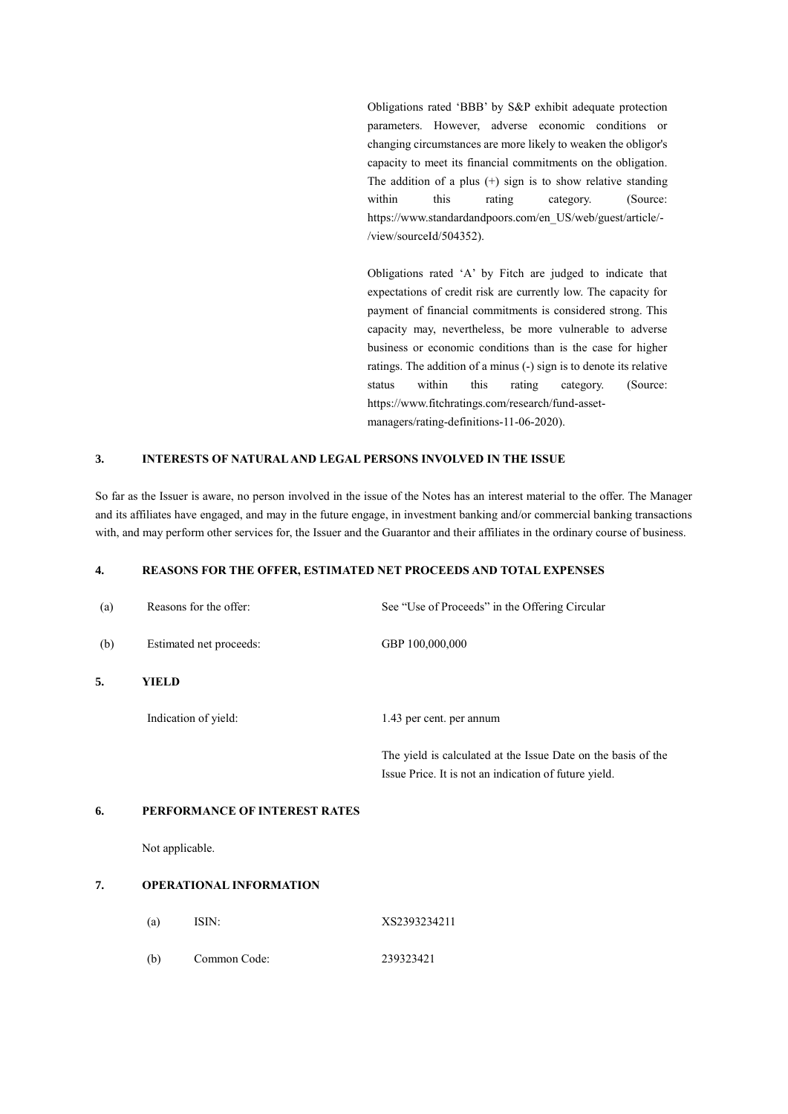Obligations rated 'BBB' by S&P exhibit adequate protection parameters. However, adverse economic conditions or changing circumstances are more likely to weaken the obligor's capacity to meet its financial commitments on the obligation. The addition of a plus  $(+)$  sign is to show relative standing within this rating category. (Source: https://www.standardandpoors.com/en\_US/web/guest/article/- /view/sourceId/504352).

Obligations rated 'A' by Fitch are judged to indicate that expectations of credit risk are currently low. The capacity for payment of financial commitments is considered strong. This capacity may, nevertheless, be more vulnerable to adverse business or economic conditions than is the case for higher ratings. The addition of a minus (-) sign is to denote its relative status within this rating category. (Source: https://www.fitchratings.com/research/fund-assetmanagers/rating-definitions-11-06-2020).

## **3. INTERESTS OF NATURAL AND LEGAL PERSONS INVOLVED IN THE ISSUE**

So far as the Issuer is aware, no person involved in the issue of the Notes has an interest material to the offer. The Manager and its affiliates have engaged, and may in the future engage, in investment banking and/or commercial banking transactions with, and may perform other services for, the Issuer and the Guarantor and their affiliates in the ordinary course of business.

## **4. REASONS FOR THE OFFER, ESTIMATED NET PROCEEDS AND TOTAL EXPENSES**

| (a) | Reasons for the offer:         | See "Use of Proceeds" in the Offering Circular                                                                         |
|-----|--------------------------------|------------------------------------------------------------------------------------------------------------------------|
| (b) | Estimated net proceeds:        | GBP 100,000,000                                                                                                        |
| 5.  | YIELD                          |                                                                                                                        |
|     | Indication of yield:           | 1.43 per cent. per annum                                                                                               |
|     |                                | The yield is calculated at the Issue Date on the basis of the<br>Issue Price. It is not an indication of future yield. |
| 6.  | PERFORMANCE OF INTEREST RATES  |                                                                                                                        |
|     | Not applicable.                |                                                                                                                        |
| 7.  | <b>OPERATIONAL INFORMATION</b> |                                                                                                                        |
|     | ISIN:<br>(a)                   | XS2393234211                                                                                                           |

(b) Common Code: 239323421